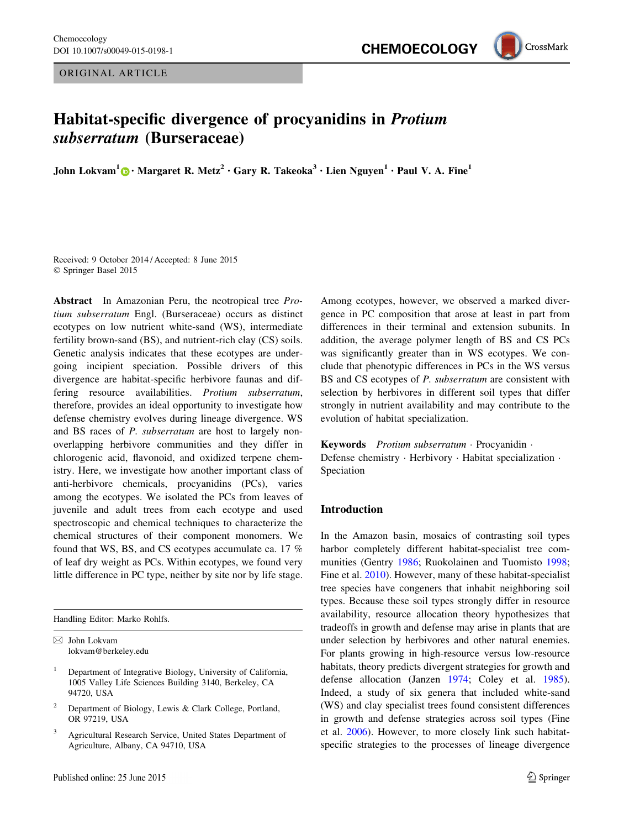ORIGINAL ARTICLE



# Habitat-specific divergence of procyanidins in Protium subserratum (Burseraceae)

John Lokvam<sup>1</sup> [•](http://orcid.org/0000-0002-5458-2419) Margaret R. Metz<sup>2</sup> • Gary R. Takeoka<sup>3</sup> • Lien Nguyen<sup>1</sup> • Paul V. A. Fine<sup>1</sup>

Received: 9 October 2014 / Accepted: 8 June 2015 - Springer Basel 2015

Abstract In Amazonian Peru, the neotropical tree Protium subserratum Engl. (Burseraceae) occurs as distinct ecotypes on low nutrient white-sand (WS), intermediate fertility brown-sand (BS), and nutrient-rich clay (CS) soils. Genetic analysis indicates that these ecotypes are undergoing incipient speciation. Possible drivers of this divergence are habitat-specific herbivore faunas and differing resource availabilities. Protium subserratum, therefore, provides an ideal opportunity to investigate how defense chemistry evolves during lineage divergence. WS and BS races of P. subserratum are host to largely nonoverlapping herbivore communities and they differ in chlorogenic acid, flavonoid, and oxidized terpene chemistry. Here, we investigate how another important class of anti-herbivore chemicals, procyanidins (PCs), varies among the ecotypes. We isolated the PCs from leaves of juvenile and adult trees from each ecotype and used spectroscopic and chemical techniques to characterize the chemical structures of their component monomers. We found that WS, BS, and CS ecotypes accumulate ca. 17 % of leaf dry weight as PCs. Within ecotypes, we found very little difference in PC type, neither by site nor by life stage.

Handling Editor: Marko Rohlfs.

& John Lokvam lokvam@berkeley.edu

- <sup>2</sup> Department of Biology, Lewis & Clark College, Portland, OR 97219, USA
- <sup>3</sup> Agricultural Research Service, United States Department of Agriculture, Albany, CA 94710, USA

Among ecotypes, however, we observed a marked divergence in PC composition that arose at least in part from differences in their terminal and extension subunits. In addition, the average polymer length of BS and CS PCs was significantly greater than in WS ecotypes. We conclude that phenotypic differences in PCs in the WS versus BS and CS ecotypes of *P. subserratum* are consistent with selection by herbivores in different soil types that differ strongly in nutrient availability and may contribute to the evolution of habitat specialization.

Keywords Protium subserratum · Procyanidin · Defense chemistry · Herbivory · Habitat specialization · Speciation

# Introduction

In the Amazon basin, mosaics of contrasting soil types harbor completely different habitat-specialist tree communities (Gentry [1986](#page-8-0); Ruokolainen and Tuomisto [1998](#page-9-0); Fine et al. [2010](#page-8-0)). However, many of these habitat-specialist tree species have congeners that inhabit neighboring soil types. Because these soil types strongly differ in resource availability, resource allocation theory hypothesizes that tradeoffs in growth and defense may arise in plants that are under selection by herbivores and other natural enemies. For plants growing in high-resource versus low-resource habitats, theory predicts divergent strategies for growth and defense allocation (Janzen [1974](#page-9-0); Coley et al. [1985](#page-8-0)). Indeed, a study of six genera that included white-sand (WS) and clay specialist trees found consistent differences in growth and defense strategies across soil types (Fine et al. [2006\)](#page-8-0). However, to more closely link such habitatspecific strategies to the processes of lineage divergence

<sup>&</sup>lt;sup>1</sup> Department of Integrative Biology, University of California, 1005 Valley Life Sciences Building 3140, Berkeley, CA 94720, USA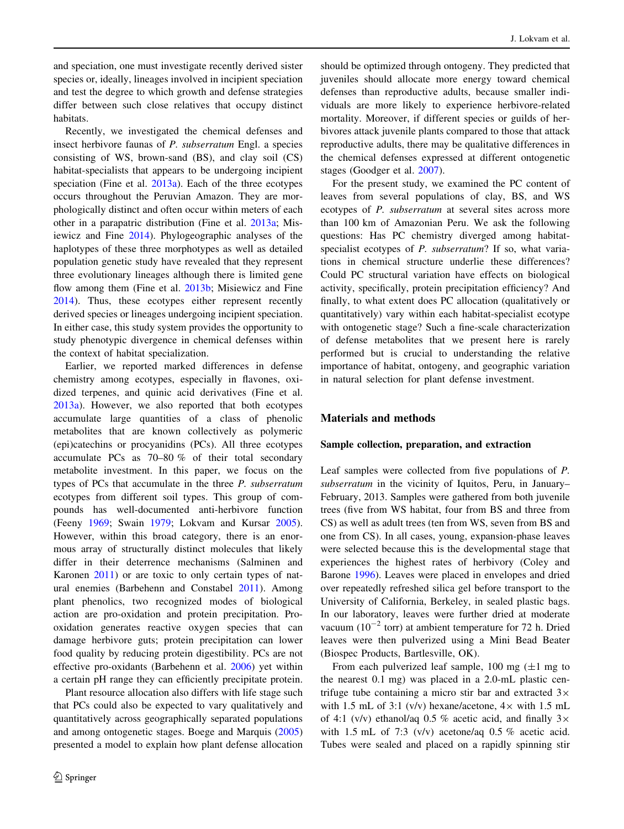and speciation, one must investigate recently derived sister species or, ideally, lineages involved in incipient speciation and test the degree to which growth and defense strategies differ between such close relatives that occupy distinct habitats.

Recently, we investigated the chemical defenses and insect herbivore faunas of P. subserratum Engl. a species consisting of WS, brown-sand (BS), and clay soil (CS) habitat-specialists that appears to be undergoing incipient speciation (Fine et al. [2013a](#page-8-0)). Each of the three ecotypes occurs throughout the Peruvian Amazon. They are morphologically distinct and often occur within meters of each other in a parapatric distribution (Fine et al. [2013a;](#page-8-0) Misiewicz and Fine [2014\)](#page-9-0). Phylogeographic analyses of the haplotypes of these three morphotypes as well as detailed population genetic study have revealed that they represent three evolutionary lineages although there is limited gene flow among them (Fine et al. [2013b](#page-8-0); Misiewicz and Fine [2014\)](#page-9-0). Thus, these ecotypes either represent recently derived species or lineages undergoing incipient speciation. In either case, this study system provides the opportunity to study phenotypic divergence in chemical defenses within the context of habitat specialization.

Earlier, we reported marked differences in defense chemistry among ecotypes, especially in flavones, oxidized terpenes, and quinic acid derivatives (Fine et al. [2013a](#page-8-0)). However, we also reported that both ecotypes accumulate large quantities of a class of phenolic metabolites that are known collectively as polymeric (epi)catechins or procyanidins (PCs). All three ecotypes accumulate PCs as 70–80 % of their total secondary metabolite investment. In this paper, we focus on the types of PCs that accumulate in the three P. subserratum ecotypes from different soil types. This group of compounds has well-documented anti-herbivore function (Feeny [1969](#page-8-0); Swain [1979](#page-9-0); Lokvam and Kursar [2005](#page-9-0)). However, within this broad category, there is an enormous array of structurally distinct molecules that likely differ in their deterrence mechanisms (Salminen and Karonen [2011\)](#page-9-0) or are toxic to only certain types of natural enemies (Barbehenn and Constabel [2011\)](#page-8-0). Among plant phenolics, two recognized modes of biological action are pro-oxidation and protein precipitation. Prooxidation generates reactive oxygen species that can damage herbivore guts; protein precipitation can lower food quality by reducing protein digestibility. PCs are not effective pro-oxidants (Barbehenn et al. [2006](#page-8-0)) yet within a certain pH range they can efficiently precipitate protein.

Plant resource allocation also differs with life stage such that PCs could also be expected to vary qualitatively and quantitatively across geographically separated populations and among ontogenetic stages. Boege and Marquis ([2005\)](#page-8-0) presented a model to explain how plant defense allocation should be optimized through ontogeny. They predicted that juveniles should allocate more energy toward chemical defenses than reproductive adults, because smaller individuals are more likely to experience herbivore-related mortality. Moreover, if different species or guilds of herbivores attack juvenile plants compared to those that attack reproductive adults, there may be qualitative differences in the chemical defenses expressed at different ontogenetic stages (Goodger et al. [2007](#page-8-0)).

For the present study, we examined the PC content of leaves from several populations of clay, BS, and WS ecotypes of P. subserratum at several sites across more than 100 km of Amazonian Peru. We ask the following questions: Has PC chemistry diverged among habitatspecialist ecotypes of *P. subserratum*? If so, what variations in chemical structure underlie these differences? Could PC structural variation have effects on biological activity, specifically, protein precipitation efficiency? And finally, to what extent does PC allocation (qualitatively or quantitatively) vary within each habitat-specialist ecotype with ontogenetic stage? Such a fine-scale characterization of defense metabolites that we present here is rarely performed but is crucial to understanding the relative importance of habitat, ontogeny, and geographic variation in natural selection for plant defense investment.

# Materials and methods

#### Sample collection, preparation, and extraction

Leaf samples were collected from five populations of P. subserratum in the vicinity of Iquitos, Peru, in January– February, 2013. Samples were gathered from both juvenile trees (five from WS habitat, four from BS and three from CS) as well as adult trees (ten from WS, seven from BS and one from CS). In all cases, young, expansion-phase leaves were selected because this is the developmental stage that experiences the highest rates of herbivory (Coley and Barone [1996](#page-8-0)). Leaves were placed in envelopes and dried over repeatedly refreshed silica gel before transport to the University of California, Berkeley, in sealed plastic bags. In our laboratory, leaves were further dried at moderate vacuum ( $10^{-2}$  torr) at ambient temperature for 72 h. Dried leaves were then pulverized using a Mini Bead Beater (Biospec Products, Bartlesville, OK).

From each pulverized leaf sample, 100 mg  $(\pm 1 \text{ mg})$  to the nearest 0.1 mg) was placed in a 2.0-mL plastic centrifuge tube containing a micro stir bar and extracted  $3\times$ with 1.5 mL of 3:1 (v/v) hexane/acetone,  $4 \times$  with 1.5 mL of 4:1 (v/v) ethanol/aq 0.5 % acetic acid, and finally  $3 \times$ with 1.5 mL of 7:3 (v/v) acetone/aq 0.5 % acetic acid. Tubes were sealed and placed on a rapidly spinning stir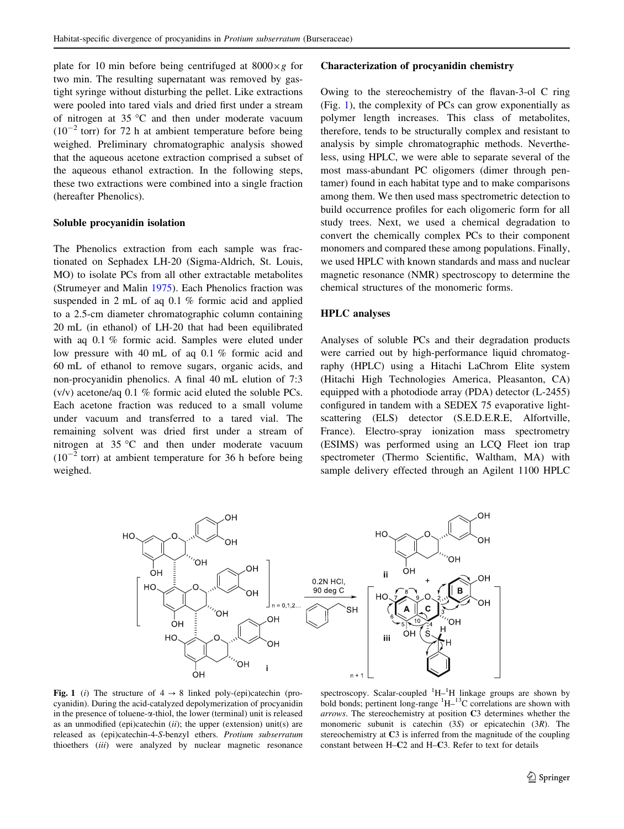<span id="page-2-0"></span>plate for 10 min before being centrifuged at  $8000 \times g$  for two min. The resulting supernatant was removed by gastight syringe without disturbing the pellet. Like extractions were pooled into tared vials and dried first under a stream of nitrogen at  $35^{\circ}$ C and then under moderate vacuum  $(10^{-2}$  torr) for 72 h at ambient temperature before being weighed. Preliminary chromatographic analysis showed that the aqueous acetone extraction comprised a subset of the aqueous ethanol extraction. In the following steps, these two extractions were combined into a single fraction (hereafter Phenolics).

#### Soluble procyanidin isolation

The Phenolics extraction from each sample was fractionated on Sephadex LH-20 (Sigma-Aldrich, St. Louis, MO) to isolate PCs from all other extractable metabolites (Strumeyer and Malin [1975](#page-9-0)). Each Phenolics fraction was suspended in 2 mL of aq 0.1 % formic acid and applied to a 2.5-cm diameter chromatographic column containing 20 mL (in ethanol) of LH-20 that had been equilibrated with aq 0.1 % formic acid. Samples were eluted under low pressure with 40 mL of aq 0.1 % formic acid and 60 mL of ethanol to remove sugars, organic acids, and non-procyanidin phenolics. A final 40 mL elution of 7:3 (v/v) acetone/aq 0.1 % formic acid eluted the soluble PCs. Each acetone fraction was reduced to a small volume under vacuum and transferred to a tared vial. The remaining solvent was dried first under a stream of nitrogen at  $35 \degree C$  and then under moderate vacuum  $(10^{-2} \text{ torr})$  at ambient temperature for 36 h before being weighed.

#### Characterization of procyanidin chemistry

Owing to the stereochemistry of the flavan-3-ol C ring (Fig. 1), the complexity of PCs can grow exponentially as polymer length increases. This class of metabolites, therefore, tends to be structurally complex and resistant to analysis by simple chromatographic methods. Nevertheless, using HPLC, we were able to separate several of the most mass-abundant PC oligomers (dimer through pentamer) found in each habitat type and to make comparisons among them. We then used mass spectrometric detection to build occurrence profiles for each oligomeric form for all study trees. Next, we used a chemical degradation to convert the chemically complex PCs to their component monomers and compared these among populations. Finally, we used HPLC with known standards and mass and nuclear magnetic resonance (NMR) spectroscopy to determine the chemical structures of the monomeric forms.

#### HPLC analyses

Analyses of soluble PCs and their degradation products were carried out by high-performance liquid chromatography (HPLC) using a Hitachi LaChrom Elite system (Hitachi High Technologies America, Pleasanton, CA) equipped with a photodiode array (PDA) detector (L-2455) configured in tandem with a SEDEX 75 evaporative lightscattering (ELS) detector (S.E.D.E.R.E, Alfortville, France). Electro-spray ionization mass spectrometry (ESIMS) was performed using an LCQ Fleet ion trap spectrometer (Thermo Scientific, Waltham, MA) with sample delivery effected through an Agilent 1100 HPLC



Fig. 1 (i) The structure of  $4 \rightarrow 8$  linked poly-(epi)catechin (procyanidin). During the acid-catalyzed depolymerization of procyanidin in the presence of toluene- $\alpha$ -thiol, the lower (terminal) unit is released as an unmodified (epi)catechin  $(ii)$ ; the upper (extension) unit(s) are released as (epi)catechin-4-S-benzyl ethers. Protium subserratum thioethers (iii) were analyzed by nuclear magnetic resonance

spectroscopy. Scalar-coupled  $H$ <sup>1</sup>H<sup>-1</sup>H linkage groups are shown by bold bonds; pertinent long-range  ${}^{1}H-{}^{13}C$  correlations are shown with arrows. The stereochemistry at position C3 determines whether the monomeric subunit is catechin (3S) or epicatechin (3R). The stereochemistry at C3 is inferred from the magnitude of the coupling constant between H–C2 and H–C3. Refer to text for details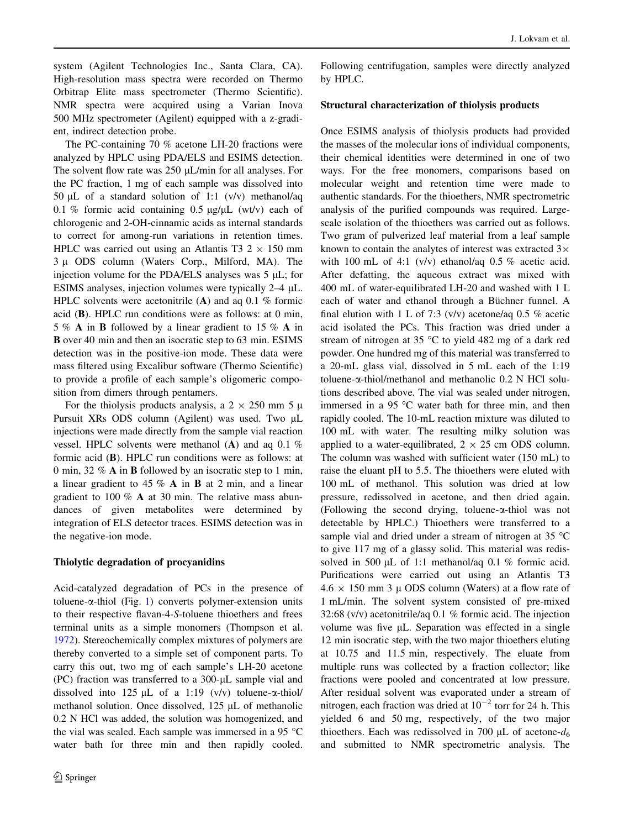system (Agilent Technologies Inc., Santa Clara, CA). High-resolution mass spectra were recorded on Thermo Orbitrap Elite mass spectrometer (Thermo Scientific). NMR spectra were acquired using a Varian Inova 500 MHz spectrometer (Agilent) equipped with a z-gradient, indirect detection probe.

The PC-containing 70 % acetone LH-20 fractions were analyzed by HPLC using PDA/ELS and ESIMS detection. The solvent flow rate was 250 µL/min for all analyses. For the PC fraction, 1 mg of each sample was dissolved into 50 µL of a standard solution of 1:1  $(v/v)$  methanol/aq 0.1 % formic acid containing 0.5  $\mu$ g/ $\mu$ L (wt/v) each of chlorogenic and 2-OH-cinnamic acids as internal standards to correct for among-run variations in retention times. HPLC was carried out using an Atlantis T3  $2 \times 150$  mm  $3 \mu$  ODS column (Waters Corp., Milford, MA). The injection volume for the PDA/ELS analyses was  $5 \mu L$ ; for ESIMS analyses, injection volumes were typically  $2-4 \mu L$ . HPLC solvents were acetonitrile  $(A)$  and aq 0.1 % formic acid (B). HPLC run conditions were as follows: at 0 min, 5 % A in B followed by a linear gradient to 15 % A in B over 40 min and then an isocratic step to 63 min. ESIMS detection was in the positive-ion mode. These data were mass filtered using Excalibur software (Thermo Scientific) to provide a profile of each sample's oligomeric composition from dimers through pentamers.

For the thiolysis products analysis, a  $2 \times 250$  mm 5  $\mu$ Pursuit XRs ODS column (Agilent) was used. Two  $\mu$ L injections were made directly from the sample vial reaction vessel. HPLC solvents were methanol (A) and aq 0.1 % formic acid (B). HPLC run conditions were as follows: at 0 min, 32 % A in B followed by an isocratic step to 1 min, a linear gradient to 45 % A in B at 2 min, and a linear gradient to 100 % A at 30 min. The relative mass abundances of given metabolites were determined by integration of ELS detector traces. ESIMS detection was in the negative-ion mode.

# Thiolytic degradation of procyanidins

Acid-catalyzed degradation of PCs in the presence of toluene- $\alpha$ -thiol (Fig. [1](#page-2-0)) converts polymer-extension units to their respective flavan-4-S-toluene thioethers and frees terminal units as a simple monomers (Thompson et al. [1972\)](#page-9-0). Stereochemically complex mixtures of polymers are thereby converted to a simple set of component parts. To carry this out, two mg of each sample's LH-20 acetone (PC) fraction was transferred to a  $300$ - $\mu$ L sample vial and dissolved into 125  $\mu$ L of a 1:19 (v/v) toluene- $\alpha$ -thiol/ methanol solution. Once dissolved,  $125 \mu L$  of methanolic 0.2 N HCl was added, the solution was homogenized, and the vial was sealed. Each sample was immersed in a 95  $^{\circ}$ C water bath for three min and then rapidly cooled. Following centrifugation, samples were directly analyzed by HPLC.

#### Structural characterization of thiolysis products

Once ESIMS analysis of thiolysis products had provided the masses of the molecular ions of individual components, their chemical identities were determined in one of two ways. For the free monomers, comparisons based on molecular weight and retention time were made to authentic standards. For the thioethers, NMR spectrometric analysis of the purified compounds was required. Largescale isolation of the thioethers was carried out as follows. Two gram of pulverized leaf material from a leaf sample known to contain the analytes of interest was extracted  $3\times$ with 100 mL of 4:1 (v/v) ethanol/aq 0.5  $%$  acetic acid. After defatting, the aqueous extract was mixed with 400 mL of water-equilibrated LH-20 and washed with 1 L each of water and ethanol through a Büchner funnel. A final elution with 1 L of 7:3 (v/v) acetone/aq 0.5 % acetic acid isolated the PCs. This fraction was dried under a stream of nitrogen at 35  $\degree$ C to yield 482 mg of a dark red powder. One hundred mg of this material was transferred to a 20-mL glass vial, dissolved in 5 mL each of the 1:19 toluene- $\alpha$ -thiol/methanol and methanolic 0.2 N HCl solutions described above. The vial was sealed under nitrogen, immersed in a  $95^{\circ}$ C water bath for three min, and then rapidly cooled. The 10-mL reaction mixture was diluted to 100 mL with water. The resulting milky solution was applied to a water-equilibrated,  $2 \times 25$  cm ODS column. The column was washed with sufficient water (150 mL) to raise the eluant pH to 5.5. The thioethers were eluted with 100 mL of methanol. This solution was dried at low pressure, redissolved in acetone, and then dried again. (Following the second drying, toluene-a-thiol was not detectable by HPLC.) Thioethers were transferred to a sample vial and dried under a stream of nitrogen at 35  $^{\circ}$ C to give 117 mg of a glassy solid. This material was redissolved in 500  $\mu$ L of 1:1 methanol/aq 0.1 % formic acid. Purifications were carried out using an Atlantis T3  $4.6 \times 150$  mm 3 µ ODS column (Waters) at a flow rate of 1 mL/min. The solvent system consisted of pre-mixed 32:68 (v/v) acetonitrile/aq 0.1 % formic acid. The injection volume was five  $\mu$ L. Separation was effected in a single 12 min isocratic step, with the two major thioethers eluting at 10.75 and 11.5 min, respectively. The eluate from multiple runs was collected by a fraction collector; like fractions were pooled and concentrated at low pressure. After residual solvent was evaporated under a stream of nitrogen, each fraction was dried at  $10^{-2}$  torr for 24 h. This yielded 6 and 50 mg, respectively, of the two major thioethers. Each was redissolved in 700  $\mu$ L of acetone- $d_6$ and submitted to NMR spectrometric analysis. The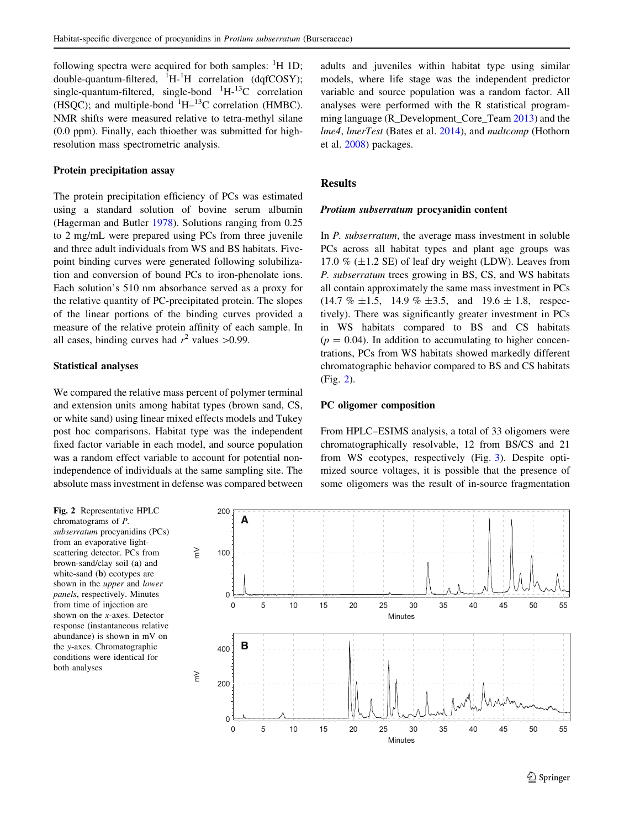following spectra were acquired for both samples:  ${}^{1}H$  1D; double-quantum-filtered,  ${}^{1}H-{}^{1}H$  correlation (dqfCOSY); single-quantum-filtered, single-bond  ${}^{1}H-{}^{13}C$  correlation (HSQC); and multiple-bond  ${}^{1}H-{}^{13}C$  correlation (HMBC). NMR shifts were measured relative to tetra-methyl silane (0.0 ppm). Finally, each thioether was submitted for highresolution mass spectrometric analysis.

### Protein precipitation assay

The protein precipitation efficiency of PCs was estimated using a standard solution of bovine serum albumin (Hagerman and Butler [1978](#page-8-0)). Solutions ranging from 0.25 to 2 mg/mL were prepared using PCs from three juvenile and three adult individuals from WS and BS habitats. Fivepoint binding curves were generated following solubilization and conversion of bound PCs to iron-phenolate ions. Each solution's 510 nm absorbance served as a proxy for the relative quantity of PC-precipitated protein. The slopes of the linear portions of the binding curves provided a measure of the relative protein affinity of each sample. In all cases, binding curves had  $r^2$  values >0.99.

#### Statistical analyses

We compared the relative mass percent of polymer terminal and extension units among habitat types (brown sand, CS, or white sand) using linear mixed effects models and Tukey post hoc comparisons. Habitat type was the independent fixed factor variable in each model, and source population was a random effect variable to account for potential nonindependence of individuals at the same sampling site. The absolute mass investment in defense was compared between

Fig. 2 Representative HPLC chromatograms of P. subserratum procyanidins (PCs) from an evaporative lightscattering detector. PCs from brown-sand/clay soil (a) and white-sand (**b**) ecotypes are shown in the upper and lower panels, respectively. Minutes from time of injection are shown on the x-axes. Detector response (instantaneous relative abundance) is shown in mV on the y-axes. Chromatographic conditions were identical for both analyses

adults and juveniles within habitat type using similar models, where life stage was the independent predictor variable and source population was a random factor. All analyses were performed with the R statistical program-ming language (R\_Development\_Core\_Team [2013](#page-9-0)) and the lme4, lmerTest (Bates et al. [2014\)](#page-8-0), and multcomp (Hothorn et al. [2008](#page-9-0)) packages.

# Results

#### Protium subserratum procyanidin content

In P. subserratum, the average mass investment in soluble PCs across all habitat types and plant age groups was 17.0 %  $(\pm 1.2 \text{ SE})$  of leaf dry weight (LDW). Leaves from P. subserratum trees growing in BS, CS, and WS habitats all contain approximately the same mass investment in PCs  $(14.7 \% \pm 1.5, 14.9 \% \pm 3.5, \text{ and } 19.6 \pm 1.8, \text{respect-}$ tively). There was significantly greater investment in PCs in WS habitats compared to BS and CS habitats  $(p = 0.04)$ . In addition to accumulating to higher concentrations, PCs from WS habitats showed markedly different chromatographic behavior compared to BS and CS habitats (Fig. 2).

#### PC oligomer composition

From HPLC–ESIMS analysis, a total of 33 oligomers were chromatographically resolvable, 12 from BS/CS and 21 from WS ecotypes, respectively (Fig. [3](#page-5-0)). Despite optimized source voltages, it is possible that the presence of some oligomers was the result of in-source fragmentation

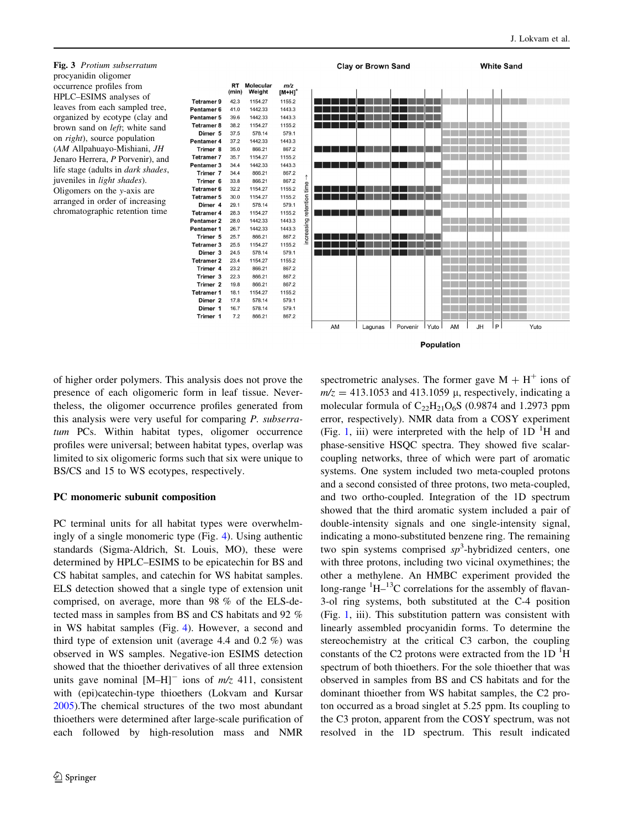<span id="page-5-0"></span>Fig. 3 Protium subserratum procyanidin oligomer occurrence profiles from HPLC–ESIMS analyses of leaves from each sampled tree, organized by ecotype (clay and brown sand on left; white sand on right), source population (AM Allpahuayo-Mishiani, JH Jenaro Herrera, P Porvenir), and life stage (adults in dark shades, juveniles in light shades). Oligomers on the y-axis are arranged in order of increasing chromatographic retention time





of higher order polymers. This analysis does not prove the presence of each oligomeric form in leaf tissue. Nevertheless, the oligomer occurrence profiles generated from this analysis were very useful for comparing P. subserratum PCs. Within habitat types, oligomer occurrence profiles were universal; between habitat types, overlap was limited to six oligomeric forms such that six were unique to BS/CS and 15 to WS ecotypes, respectively.

# PC monomeric subunit composition

PC terminal units for all habitat types were overwhelmingly of a single monomeric type (Fig. [4\)](#page-6-0). Using authentic standards (Sigma-Aldrich, St. Louis, MO), these were determined by HPLC–ESIMS to be epicatechin for BS and CS habitat samples, and catechin for WS habitat samples. ELS detection showed that a single type of extension unit comprised, on average, more than 98 % of the ELS-detected mass in samples from BS and CS habitats and 92 % in WS habitat samples (Fig. [4](#page-6-0)). However, a second and third type of extension unit (average 4.4 and 0.2 %) was observed in WS samples. Negative-ion ESIMS detection showed that the thioether derivatives of all three extension units gave nominal  $[M-H]$ <sup>-</sup> ions of  $m/z$  411, consistent with (epi)catechin-type thioethers (Lokvam and Kursar [2005\)](#page-9-0).The chemical structures of the two most abundant thioethers were determined after large-scale purification of each followed by high-resolution mass and NMR spectrometric analyses. The former gave  $M + H^+$  ions of  $m/z = 413.1053$  and 413.1059  $\mu$ , respectively, indicating a molecular formula of  $C_{22}H_{21}O_6S$  (0.9874 and 1.2973 ppm error, respectively). NMR data from a COSY experiment (Fig. [1,](#page-2-0) iii) were interpreted with the help of  $1D^{-1}H$  and phase-sensitive HSQC spectra. They showed five scalarcoupling networks, three of which were part of aromatic systems. One system included two meta-coupled protons and a second consisted of three protons, two meta-coupled, and two ortho-coupled. Integration of the 1D spectrum showed that the third aromatic system included a pair of double-intensity signals and one single-intensity signal, indicating a mono-substituted benzene ring. The remaining two spin systems comprised  $sp^3$ -hybridized centers, one with three protons, including two vicinal oxymethines; the other a methylene. An HMBC experiment provided the long-range  ${}^{1}H-{}^{13}C$  correlations for the assembly of flavan-3-ol ring systems, both substituted at the C-4 position (Fig. [1,](#page-2-0) iii). This substitution pattern was consistent with linearly assembled procyanidin forms. To determine the stereochemistry at the critical C3 carbon, the coupling constants of the C2 protons were extracted from the  $1D<sup>-1</sup>H$ spectrum of both thioethers. For the sole thioether that was observed in samples from BS and CS habitats and for the dominant thioether from WS habitat samples, the C2 proton occurred as a broad singlet at 5.25 ppm. Its coupling to the C3 proton, apparent from the COSY spectrum, was not resolved in the 1D spectrum. This result indicated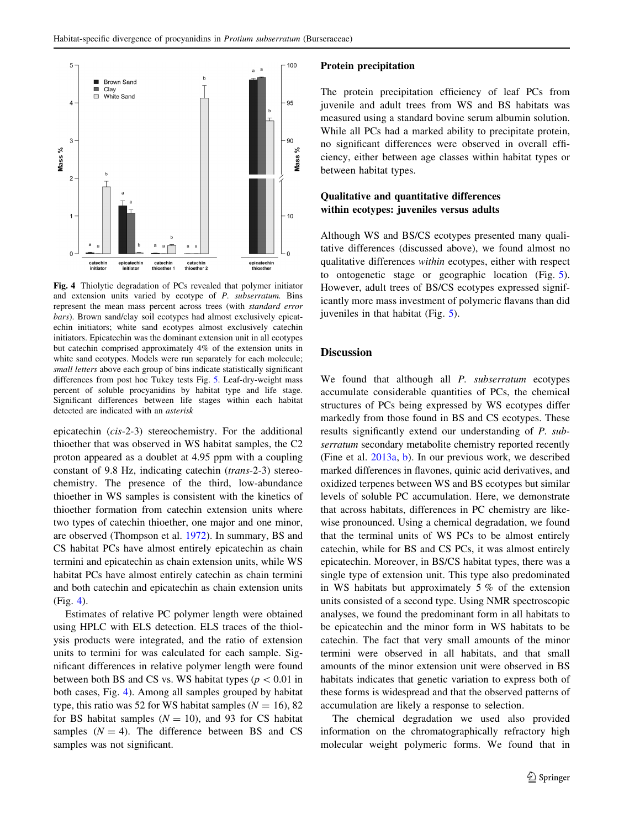<span id="page-6-0"></span>

Fig. 4 Thiolytic degradation of PCs revealed that polymer initiator and extension units varied by ecotype of P. subserratum. Bins represent the mean mass percent across trees (with standard error bars). Brown sand/clay soil ecotypes had almost exclusively epicatechin initiators; white sand ecotypes almost exclusively catechin initiators. Epicatechin was the dominant extension unit in all ecotypes but catechin comprised approximately 4% of the extension units in white sand ecotypes. Models were run separately for each molecule; small letters above each group of bins indicate statistically significant differences from post hoc Tukey tests Fig. [5](#page-7-0). Leaf-dry-weight mass percent of soluble procyanidins by habitat type and life stage. Significant differences between life stages within each habitat detected are indicated with an asterisk

epicatechin (cis-2-3) stereochemistry. For the additional thioether that was observed in WS habitat samples, the C2 proton appeared as a doublet at 4.95 ppm with a coupling constant of 9.8 Hz, indicating catechin (trans-2-3) stereochemistry. The presence of the third, low-abundance thioether in WS samples is consistent with the kinetics of thioether formation from catechin extension units where two types of catechin thioether, one major and one minor, are observed (Thompson et al. [1972](#page-9-0)). In summary, BS and CS habitat PCs have almost entirely epicatechin as chain termini and epicatechin as chain extension units, while WS habitat PCs have almost entirely catechin as chain termini and both catechin and epicatechin as chain extension units (Fig. 4).

Estimates of relative PC polymer length were obtained using HPLC with ELS detection. ELS traces of the thiolysis products were integrated, and the ratio of extension units to termini for was calculated for each sample. Significant differences in relative polymer length were found between both BS and CS vs. WS habitat types ( $p < 0.01$  in both cases, Fig. 4). Among all samples grouped by habitat type, this ratio was 52 for WS habitat samples ( $N = 16$ ), 82 for BS habitat samples  $(N = 10)$ , and 93 for CS habitat samples  $(N = 4)$ . The difference between BS and CS samples was not significant.

#### Protein precipitation

The protein precipitation efficiency of leaf PCs from juvenile and adult trees from WS and BS habitats was measured using a standard bovine serum albumin solution. While all PCs had a marked ability to precipitate protein, no significant differences were observed in overall efficiency, either between age classes within habitat types or between habitat types.

# Qualitative and quantitative differences within ecotypes: juveniles versus adults

Although WS and BS/CS ecotypes presented many qualitative differences (discussed above), we found almost no qualitative differences within ecotypes, either with respect to ontogenetic stage or geographic location (Fig. [5](#page-7-0)). However, adult trees of BS/CS ecotypes expressed significantly more mass investment of polymeric flavans than did juveniles in that habitat (Fig. [5](#page-7-0)).

# **Discussion**

We found that although all P. subserratum ecotypes accumulate considerable quantities of PCs, the chemical structures of PCs being expressed by WS ecotypes differ markedly from those found in BS and CS ecotypes. These results significantly extend our understanding of P. subserratum secondary metabolite chemistry reported recently (Fine et al. [2013a,](#page-8-0) [b](#page-8-0)). In our previous work, we described marked differences in flavones, quinic acid derivatives, and oxidized terpenes between WS and BS ecotypes but similar levels of soluble PC accumulation. Here, we demonstrate that across habitats, differences in PC chemistry are likewise pronounced. Using a chemical degradation, we found that the terminal units of WS PCs to be almost entirely catechin, while for BS and CS PCs, it was almost entirely epicatechin. Moreover, in BS/CS habitat types, there was a single type of extension unit. This type also predominated in WS habitats but approximately 5 % of the extension units consisted of a second type. Using NMR spectroscopic analyses, we found the predominant form in all habitats to be epicatechin and the minor form in WS habitats to be catechin. The fact that very small amounts of the minor termini were observed in all habitats, and that small amounts of the minor extension unit were observed in BS habitats indicates that genetic variation to express both of these forms is widespread and that the observed patterns of accumulation are likely a response to selection.

The chemical degradation we used also provided information on the chromatographically refractory high molecular weight polymeric forms. We found that in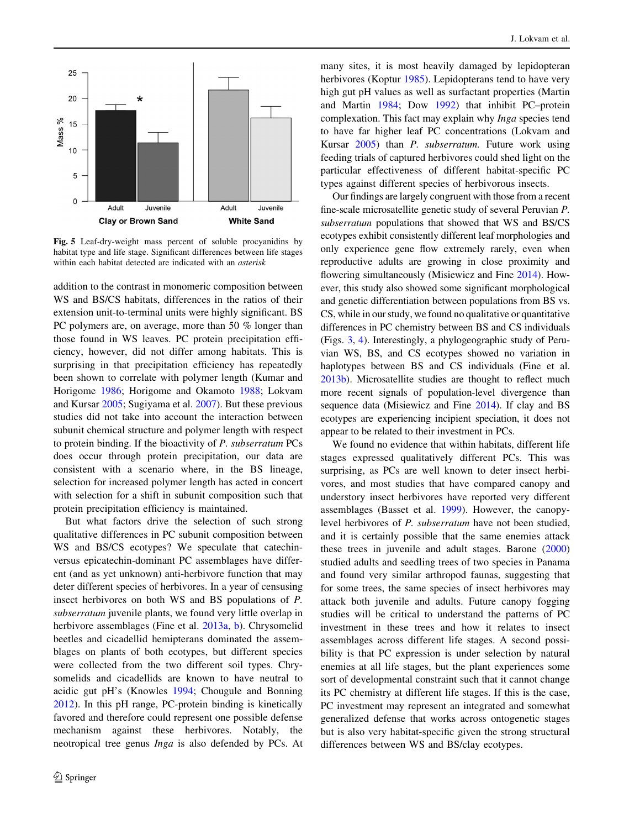<span id="page-7-0"></span>

Fig. 5 Leaf-dry-weight mass percent of soluble procyanidins by habitat type and life stage. Significant differences between life stages within each habitat detected are indicated with an asterisk

addition to the contrast in monomeric composition between WS and BS/CS habitats, differences in the ratios of their extension unit-to-terminal units were highly significant. BS PC polymers are, on average, more than 50 % longer than those found in WS leaves. PC protein precipitation efficiency, however, did not differ among habitats. This is surprising in that precipitation efficiency has repeatedly been shown to correlate with polymer length (Kumar and Horigome [1986;](#page-9-0) Horigome and Okamoto [1988;](#page-9-0) Lokvam and Kursar [2005](#page-9-0); Sugiyama et al. [2007\)](#page-9-0). But these previous studies did not take into account the interaction between subunit chemical structure and polymer length with respect to protein binding. If the bioactivity of P. subserratum PCs does occur through protein precipitation, our data are consistent with a scenario where, in the BS lineage, selection for increased polymer length has acted in concert with selection for a shift in subunit composition such that protein precipitation efficiency is maintained.

But what factors drive the selection of such strong qualitative differences in PC subunit composition between WS and BS/CS ecotypes? We speculate that catechinversus epicatechin-dominant PC assemblages have different (and as yet unknown) anti-herbivore function that may deter different species of herbivores. In a year of censusing insect herbivores on both WS and BS populations of P. subserratum juvenile plants, we found very little overlap in herbivore assemblages (Fine et al. [2013a,](#page-8-0) [b](#page-8-0)). Chrysomelid beetles and cicadellid hemipterans dominated the assemblages on plants of both ecotypes, but different species were collected from the two different soil types. Chrysomelids and cicadellids are known to have neutral to acidic gut pH's (Knowles [1994;](#page-9-0) Chougule and Bonning [2012\)](#page-8-0). In this pH range, PC-protein binding is kinetically favored and therefore could represent one possible defense mechanism against these herbivores. Notably, the neotropical tree genus Inga is also defended by PCs. At many sites, it is most heavily damaged by lepidopteran herbivores (Koptur [1985](#page-9-0)). Lepidopterans tend to have very high gut pH values as well as surfactant properties (Martin and Martin [1984](#page-9-0); Dow [1992](#page-8-0)) that inhibit PC–protein complexation. This fact may explain why Inga species tend to have far higher leaf PC concentrations (Lokvam and Kursar [2005](#page-9-0)) than P. subserratum. Future work using feeding trials of captured herbivores could shed light on the particular effectiveness of different habitat-specific PC types against different species of herbivorous insects.

Our findings are largely congruent with those from a recent fine-scale microsatellite genetic study of several Peruvian P. subserratum populations that showed that WS and BS/CS ecotypes exhibit consistently different leaf morphologies and only experience gene flow extremely rarely, even when reproductive adults are growing in close proximity and flowering simultaneously (Misiewicz and Fine [2014](#page-9-0)). However, this study also showed some significant morphological and genetic differentiation between populations from BS vs. CS, while in our study, we found no qualitative or quantitative differences in PC chemistry between BS and CS individuals (Figs. [3,](#page-5-0) [4](#page-6-0)). Interestingly, a phylogeographic study of Peruvian WS, BS, and CS ecotypes showed no variation in haplotypes between BS and CS individuals (Fine et al. [2013b\)](#page-8-0). Microsatellite studies are thought to reflect much more recent signals of population-level divergence than sequence data (Misiewicz and Fine [2014\)](#page-9-0). If clay and BS ecotypes are experiencing incipient speciation, it does not appear to be related to their investment in PCs.

We found no evidence that within habitats, different life stages expressed qualitatively different PCs. This was surprising, as PCs are well known to deter insect herbivores, and most studies that have compared canopy and understory insect herbivores have reported very different assemblages (Basset et al. [1999](#page-8-0)). However, the canopylevel herbivores of P. subserratum have not been studied, and it is certainly possible that the same enemies attack these trees in juvenile and adult stages. Barone ([2000\)](#page-8-0) studied adults and seedling trees of two species in Panama and found very similar arthropod faunas, suggesting that for some trees, the same species of insect herbivores may attack both juvenile and adults. Future canopy fogging studies will be critical to understand the patterns of PC investment in these trees and how it relates to insect assemblages across different life stages. A second possibility is that PC expression is under selection by natural enemies at all life stages, but the plant experiences some sort of developmental constraint such that it cannot change its PC chemistry at different life stages. If this is the case, PC investment may represent an integrated and somewhat generalized defense that works across ontogenetic stages but is also very habitat-specific given the strong structural differences between WS and BS/clay ecotypes.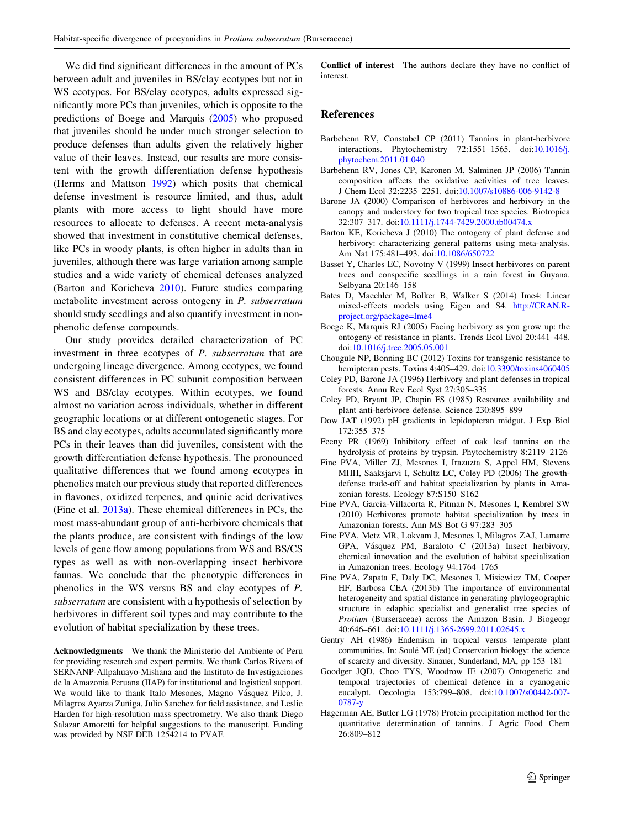<span id="page-8-0"></span>We did find significant differences in the amount of PCs between adult and juveniles in BS/clay ecotypes but not in WS ecotypes. For BS/clay ecotypes, adults expressed significantly more PCs than juveniles, which is opposite to the predictions of Boege and Marquis (2005) who proposed that juveniles should be under much stronger selection to produce defenses than adults given the relatively higher value of their leaves. Instead, our results are more consistent with the growth differentiation defense hypothesis (Herms and Mattson [1992\)](#page-9-0) which posits that chemical defense investment is resource limited, and thus, adult plants with more access to light should have more resources to allocate to defenses. A recent meta-analysis showed that investment in constitutive chemical defenses, like PCs in woody plants, is often higher in adults than in juveniles, although there was large variation among sample studies and a wide variety of chemical defenses analyzed (Barton and Koricheva 2010). Future studies comparing metabolite investment across ontogeny in P. subserratum should study seedlings and also quantify investment in nonphenolic defense compounds.

Our study provides detailed characterization of PC investment in three ecotypes of P. subserratum that are undergoing lineage divergence. Among ecotypes, we found consistent differences in PC subunit composition between WS and BS/clay ecotypes. Within ecotypes, we found almost no variation across individuals, whether in different geographic locations or at different ontogenetic stages. For BS and clay ecotypes, adults accumulated significantly more PCs in their leaves than did juveniles, consistent with the growth differentiation defense hypothesis. The pronounced qualitative differences that we found among ecotypes in phenolics match our previous study that reported differences in flavones, oxidized terpenes, and quinic acid derivatives (Fine et al. 2013a). These chemical differences in PCs, the most mass-abundant group of anti-herbivore chemicals that the plants produce, are consistent with findings of the low levels of gene flow among populations from WS and BS/CS types as well as with non-overlapping insect herbivore faunas. We conclude that the phenotypic differences in phenolics in the WS versus BS and clay ecotypes of P. subserratum are consistent with a hypothesis of selection by herbivores in different soil types and may contribute to the evolution of habitat specialization by these trees.

Acknowledgments We thank the Ministerio del Ambiente of Peru for providing research and export permits. We thank Carlos Rivera of SERNANP-Allpahuayo-Mishana and the Instituto de Investigaciones de la Amazonia Peruana (IIAP) for institutional and logistical support. We would like to thank Italo Mesones, Magno Vásquez Pilco, J. Milagros Ayarza Zuñiga, Julio Sanchez for field assistance, and Leslie Harden for high-resolution mass spectrometry. We also thank Diego Salazar Amoretti for helpful suggestions to the manuscript. Funding was provided by NSF DEB 1254214 to PVAF.

Conflict of interest The authors declare they have no conflict of interest.

#### References

- Barbehenn RV, Constabel CP (2011) Tannins in plant-herbivore interactions. Phytochemistry 72:1551–1565. doi:[10.1016/j.](http://dx.doi.org/10.1016/j.phytochem.2011.01.040) [phytochem.2011.01.040](http://dx.doi.org/10.1016/j.phytochem.2011.01.040)
- Barbehenn RV, Jones CP, Karonen M, Salminen JP (2006) Tannin composition affects the oxidative activities of tree leaves. J Chem Ecol 32:2235–2251. doi:[10.1007/s10886-006-9142-8](http://dx.doi.org/10.1007/s10886-006-9142-8)
- Barone JA (2000) Comparison of herbivores and herbivory in the canopy and understory for two tropical tree species. Biotropica 32:307–317. doi:[10.1111/j.1744-7429.2000.tb00474.x](http://dx.doi.org/10.1111/j.1744-7429.2000.tb00474.x)
- Barton KE, Koricheva J (2010) The ontogeny of plant defense and herbivory: characterizing general patterns using meta-analysis. Am Nat 175:481–493. doi:[10.1086/650722](http://dx.doi.org/10.1086/650722)
- Basset Y, Charles EC, Novotny V (1999) Insect herbivores on parent trees and conspecific seedlings in a rain forest in Guyana. Selbyana 20:146–158
- Bates D, Maechler M, Bolker B, Walker S (2014) Ime4: Linear mixed-effects models using Eigen and S4. [http://CRAN.R](http://CRAN.R-project.org/package%3dIme4)[project.org/package=Ime4](http://CRAN.R-project.org/package%3dIme4)
- Boege K, Marquis RJ (2005) Facing herbivory as you grow up: the ontogeny of resistance in plants. Trends Ecol Evol 20:441–448. doi[:10.1016/j.tree.2005.05.001](http://dx.doi.org/10.1016/j.tree.2005.05.001)
- Chougule NP, Bonning BC (2012) Toxins for transgenic resistance to hemipteran pests. Toxins 4:405–429. doi:[10.3390/toxins4060405](http://dx.doi.org/10.3390/toxins4060405)
- Coley PD, Barone JA (1996) Herbivory and plant defenses in tropical forests. Annu Rev Ecol Syst 27:305–335
- Coley PD, Bryant JP, Chapin FS (1985) Resource availability and plant anti-herbivore defense. Science 230:895–899
- Dow JAT (1992) pH gradients in lepidopteran midgut. J Exp Biol 172:355–375
- Feeny PR (1969) Inhibitory effect of oak leaf tannins on the hydrolysis of proteins by trypsin. Phytochemistry 8:2119–2126
- Fine PVA, Miller ZJ, Mesones I, Irazuzta S, Appel HM, Stevens MHH, Saaksjarvi I, Schultz LC, Coley PD (2006) The growthdefense trade-off and habitat specialization by plants in Amazonian forests. Ecology 87:S150–S162
- Fine PVA, Garcia-Villacorta R, Pitman N, Mesones I, Kembrel SW (2010) Herbivores promote habitat specialization by trees in Amazonian forests. Ann MS Bot G 97:283–305
- Fine PVA, Metz MR, Lokvam J, Mesones I, Milagros ZAJ, Lamarre GPA, Vásquez PM, Baraloto C (2013a) Insect herbivory, chemical innovation and the evolution of habitat specialization in Amazonian trees. Ecology 94:1764–1765
- Fine PVA, Zapata F, Daly DC, Mesones I, Misiewicz TM, Cooper HF, Barbosa CEA (2013b) The importance of environmental heterogeneity and spatial distance in generating phylogeographic structure in edaphic specialist and generalist tree species of Protium (Burseraceae) across the Amazon Basin. J Biogeogr 40:646–661. doi:[10.1111/j.1365-2699.2011.02645.x](http://dx.doi.org/10.1111/j.1365-2699.2011.02645.x)
- Gentry AH (1986) Endemism in tropical versus temperate plant communities. In: Soulé ME (ed) Conservation biology: the science of scarcity and diversity. Sinauer, Sunderland, MA, pp 153–181
- Goodger JQD, Choo TYS, Woodrow IE (2007) Ontogenetic and temporal trajectories of chemical defence in a cyanogenic eucalypt. Oecologia 153:799–808. doi:[10.1007/s00442-007-](http://dx.doi.org/10.1007/s00442-007-0787-y) [0787-y](http://dx.doi.org/10.1007/s00442-007-0787-y)
- Hagerman AE, Butler LG (1978) Protein precipitation method for the quantitative determination of tannins. J Agric Food Chem 26:809–812